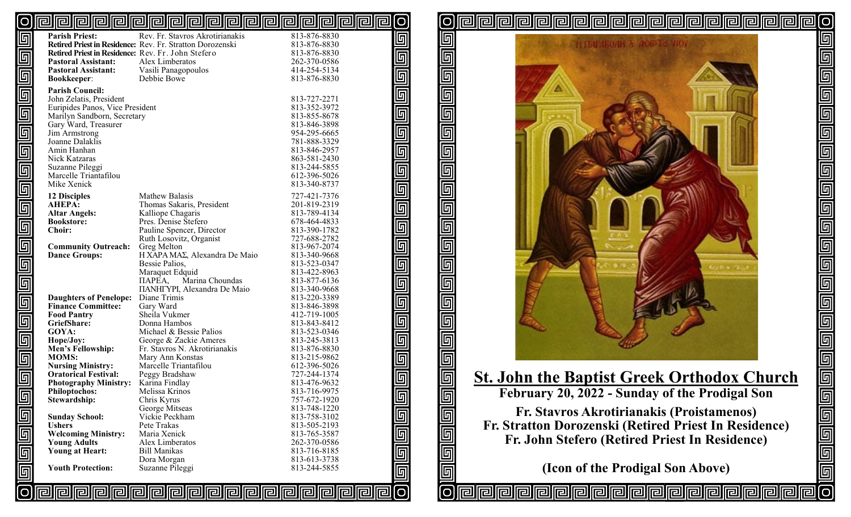#### [O <u>pipipipipipipipipipipipipipipipipi</u> [O

| 回                       | <b>Parish Priest:</b>                                      | Rev. Fr. Stavros Akrotirianakis                           | 813-876-8830                 | $\Box$      |
|-------------------------|------------------------------------------------------------|-----------------------------------------------------------|------------------------------|-------------|
|                         |                                                            | Retired Priest in Residence: Rev. Fr. Stratton Dorozenski | 813-876-8830                 |             |
| $\overline{\mathbb{F}}$ | Retired Priest in Residence: Rev. Fr. John Stefero         |                                                           | 813-876-8830                 |             |
|                         | <b>Pastoral Assistant:</b>                                 | Alex Limberatos                                           | 262-370-0586                 |             |
|                         | <b>Pastoral Assistant:</b>                                 | Vasili Panagopoulos                                       | 414-254-5134                 |             |
|                         | <b>Bookkeeper:</b>                                         | Debbie Bowe                                               | 813-876-8830                 |             |
| $\overline{\mathbb{F}}$ | <b>Parish Council:</b>                                     |                                                           |                              |             |
|                         | John Zelatis, President                                    |                                                           | 813-727-2271                 |             |
|                         | Euripides Panos, Vice President                            |                                                           | 813-352-3972                 |             |
|                         | Marilyn Sandborn, Secretary                                |                                                           | 813-855-8678                 |             |
| $\overline{\mathbb{F}}$ | Gary Ward, Treasurer<br>Jim Armstrong                      |                                                           | 813-846-3898<br>954-295-6665 |             |
|                         | Joanne Dalaklis                                            |                                                           | 781-888-3329                 |             |
|                         | Amin Hanhan                                                |                                                           | 813-846-2957                 |             |
|                         | Nick Katzaras                                              |                                                           | 863-581-2430                 |             |
|                         | Suzanne Pileggi                                            |                                                           | 813-244-5855                 |             |
| $\overline{\mathbb{F}}$ | Marcelle Triantafilou                                      |                                                           | 612-396-5026                 |             |
|                         | Mike Xenick                                                |                                                           | 813-340-8737                 |             |
| $\overline{\mathbb{F}}$ | <b>12 Disciples</b>                                        | Mathew Balasis                                            | 727-421-7376                 |             |
|                         | <b>AHEPA:</b>                                              | Thomas Sakaris, President                                 | 201-819-2319                 |             |
|                         | <b>Altar Angels:</b>                                       | Kalliope Chagaris                                         | 813-789-4134                 |             |
|                         | <b>Bookstore:</b>                                          | Pres. Denise Stefero                                      | 678-464-4833                 |             |
|                         | <b>Choir:</b>                                              | Pauline Spencer, Director                                 | 813-390-1782                 |             |
|                         |                                                            | Ruth Losovitz, Organist                                   | 727-688-2782                 |             |
|                         | <b>Community Outreach:</b>                                 | Greg Melton                                               | 813-967-2074                 |             |
|                         | <b>Dance Groups:</b>                                       | H XAPA MAΣ, Alexandra De Maio                             | 813-340-9668                 |             |
| $\overline{\mathbb{F}}$ |                                                            | Bessie Palios,                                            | 813-523-0347                 |             |
|                         |                                                            | Maraquet Edquid                                           | 813-422-8963                 |             |
|                         |                                                            | Marina Choundas<br>ПАРЕА,                                 | 813-877-6136                 |             |
|                         |                                                            | <b>ΠΑΝΗΓΥΡΙ, Alexandra De Maio</b>                        | 813-340-9668                 |             |
| $\overline{\mathbb{F}}$ | <b>Daughters of Penelope:</b><br><b>Finance Committee:</b> | Diane Trimis                                              | 813-220-3389<br>813-846-3898 |             |
|                         | <b>Food Pantry</b>                                         | Gary Ward<br>Sheila Vukmer                                | 412-719-1005                 |             |
|                         | GriefShare:                                                | Donna Hambos                                              | 813-843-8412                 |             |
|                         | GOYA:                                                      | Michael & Bessie Palios                                   | 813-523-0346                 |             |
| $\overline{\mathbb{D}}$ | Hope/Joy:                                                  | George & Zackie Ameres                                    | 813-245-3813                 |             |
|                         | Men's Fellowship:                                          | Fr. Stavros N. Akrotirianakis                             | 813-876-8830                 |             |
| $\overline{\mathbb{F}}$ | <b>MOMS:</b>                                               | Mary Ann Konstas                                          | 813-215-9862                 |             |
|                         | <b>Nursing Ministry:</b>                                   | Marcelle Triantafilou                                     | 612-396-5026                 |             |
|                         | <b>Oratorical Festival:</b>                                | Peggy Bradshaw                                            | 727-244-1374                 |             |
|                         | <b>Photography Ministry:</b>                               | Karina Findlay                                            | 813-476-9632                 |             |
| $\overline{\mathbb{F}}$ | <b>Philoptochos:</b>                                       | Melissa Krinos                                            | 813-716-9975                 | 回           |
|                         | Stewardship:                                               | Chris Kyrus                                               | 757-672-1920                 |             |
|                         |                                                            | George Mitseas<br>Vickie Peckham                          | 813-748-1220<br>813-758-3102 | 回           |
|                         | <b>Sunday School:</b><br><b>Ushers</b>                     | Pete Trakas                                               | 813-505-2193                 |             |
|                         | <b>Welcoming Ministry:</b>                                 | Maria Xenick                                              | 813-765-3587                 |             |
|                         | <b>Young Adults</b>                                        | Alex Limberatos                                           | 262-370-0586                 |             |
|                         | Young at Heart:                                            | <b>Bill Manikas</b>                                       | 813-716-8185                 |             |
| 回回回                     |                                                            | Dora Morgan                                               | 813-613-3738                 |             |
| $\overline{\mathbb{F}}$ | <b>Youth Protection:</b>                                   | Suzanne Pileggi                                           | 813-244-5855                 |             |
|                         |                                                            |                                                           |                              | <b>Deep</b> |
|                         |                                                            |                                                           |                              | 问           |
|                         |                                                            |                                                           |                              |             |

回 匠  $\overline{\mathbb{F}}$ 回 <u>同</u> 回  $\overline{\mathbb{F}}$  $\overline{\mathbb{F}}$ 回 回 回 回 同 回 ſΟ



elle

lO

b<br>G

واواواواواواوا

<u>ල</u>

**rairair**a

# **St. John the Baptist Greek Orthodox Church**

**February 20, 2022 - Sunday of the Prodigal Son**

**Fr. Stavros Akrotirianakis (Proistamenos) Fr. Stratton Dorozenski (Retired Priest In Residence) Fr. John Stefero (Retired Priest In Residence)**

**(Icon of the Prodigal Son Above)**

同川

<u>na na na mainsina na </u>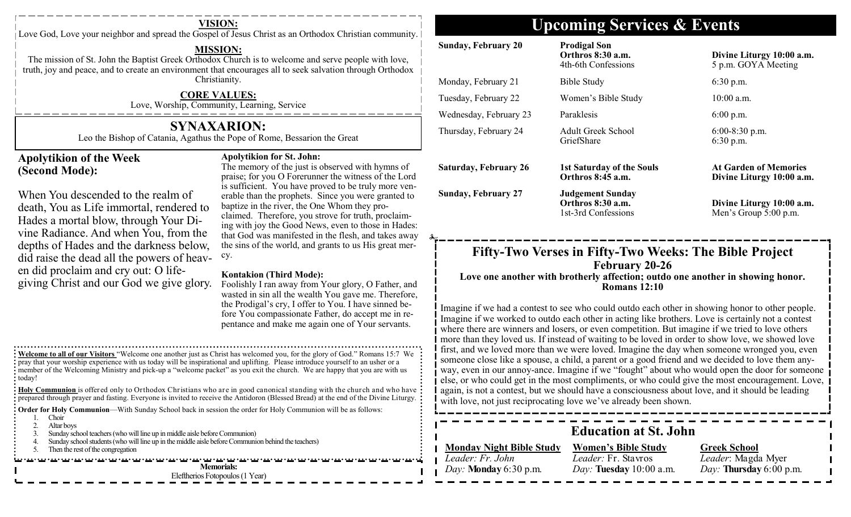Love God, Love your neighbor and spread the Gospel of Jesus Christ as an Orthodox Christian community.

### **MISSION:**

The mission of St. John the Baptist Greek Orthodox Church is to welcome and serve people with love, truth, joy and peace, and to create an environment that encourages all to seek salvation through Orthodox Christianity.

### **CORE VALUES:**

Love, Worship, Community, Learning, Service

## **SYNAXARION:**

Leo the Bishop of Catania, Agathus the Pope of Rome, Bessarion the Great

### **Apolytikion of the Week (Second Mode):**

## **Apolytikion for St. John:**

When You descended to the realm of death, You as Life immortal, rendered to Hades a mortal blow, through Your Divine Radiance. And when You, from the depths of Hades and the darkness below, did raise the dead all the powers of heaven did proclaim and cry out: O lifegiving Christ and our God we give glory.

The memory of the just is observed with hymns of praise; for you O Forerunner the witness of the Lord is sufficient. You have proved to be truly more venerable than the prophets. Since you were granted to baptize in the river, the One Whom they proclaimed. Therefore, you strove for truth, proclaiming with joy the Good News, even to those in Hades: that God was manifested in the flesh, and takes away the sins of the world, and grants to us His great mercy.

### **Kontakion (Third Mode):**

Foolishly I ran away from Your glory, O Father, and wasted in sin all the wealth You gave me. Therefore, the Prodigal's cry, I offer to You. I have sinned before You compassionate Father, do accept me in repentance and make me again one of Your servants.

**Welcome to all of our Visitors** "Welcome one another just as Christ has welcomed you, for the glory of God." Romans 15:7 We pray that your worship experience with us today will be inspirational and uplifting. Please introduce yourself to an usher or a member of the Welcoming Ministry and pick-up a "welcome packet" as you exit the church. We are happy that you are with us : today!

**Holy Communion** is offered only to Orthodox Christians who are in good canonical standing with the church and who have **prepared through prayer and fasting.** Everyone is invited to receive the Antidoron (Blessed Bread) at the end of the Divine Liturgy.

**Order for Holy Communion—With Sunday School back in session the order for Holy Communion will be as follows:** 

- 1. Choir
- 2. Altar boys
- 3. Sunday school teachers (who will line up in middle aisle before Communion)
- 4. Sunday school students (who will line up in the middle aisle before Communion behind the teachers)
- 5. Then the rest of the congregation

עבר עם הערכבי עם הערכבי עם הערכבי עם הערכבי עם הערכבי עם הערכבי עם הערכבי עם הערכבי עם הערכבי עם הערכבי עם הערכבי

**Memorials:**  Eleftherios Fotopoulos (1 Year)

## **VISION: Upcoming Services & Events**

| <b>Bible Study</b><br>Women's Bible Study                                                                                                                  | $6:30$ p.m.                                                                                                            |
|------------------------------------------------------------------------------------------------------------------------------------------------------------|------------------------------------------------------------------------------------------------------------------------|
|                                                                                                                                                            |                                                                                                                        |
|                                                                                                                                                            | 10:00 a.m.                                                                                                             |
| Paraklesis                                                                                                                                                 | $6:00$ p.m.                                                                                                            |
| <b>Adult Greek School</b><br>GriefShare                                                                                                                    | $6:00-8:30$ p.m.<br>6:30 p.m.                                                                                          |
| <b>1st Saturday of the Souls</b><br>Orthros 8:45 a.m.                                                                                                      | <b>At Garden of Memories</b><br>Divine Liturgy 10:00 a.m.                                                              |
| <b>Judgement Sunday</b><br>Orthros 8:30 a.m.<br>1st-3rd Confessions                                                                                        | Divine Liturgy 10:00 a.m.<br>Men's Group 5:00 p.m.                                                                     |
| Fifty-Two Verses in Fifty-Two Weeks: The Bible Project<br>February 20-26<br>Love one another with brotherly affection; outdo one another in showing honor. |                                                                                                                        |
|                                                                                                                                                            | <b>Romans 12:10</b><br>Imagine if we had a contest to see who could outdo each other in showing honor to other people. |

again, is not a contest, but we should have a consciousness about love, and it should be leading with love, not just reciprocating love we've already been shown.

**Education at St. John**

*Leader: Fr. John Day:* **Monday** 6:30 p.m.

**Monday Night Bible Study Women's Bible Study** *Leader:* Fr. Stavros *Day:* **Tuesday** 10:00 a.m.

## **Greek School**

*Leader*: Magda Myer *Day:* **Thursday** 6:00 p.m.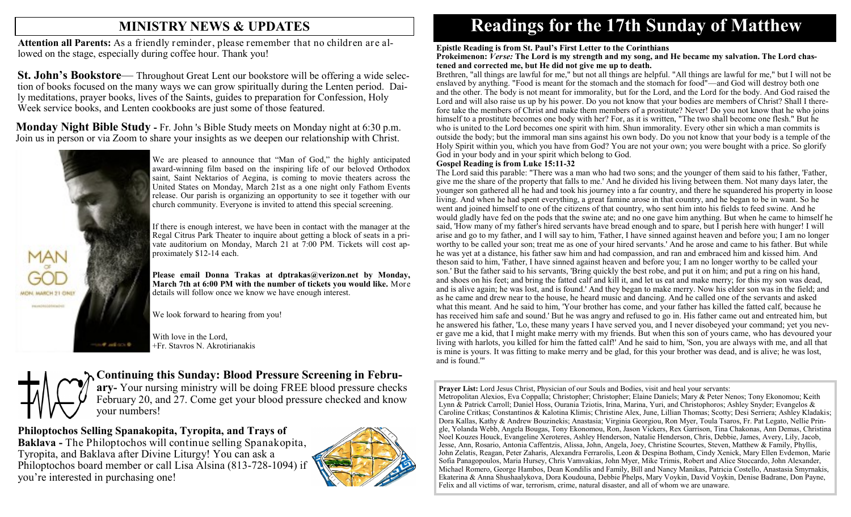## **MINISTRY NEWS & UPDATES**

**Attention all Parents:** As a friendly reminder, please remember that no children are allowed on the stage, especially during coffee hour. Thank you!

**St. John's Bookstore—** Throughout Great Lent our bookstore will be offering a wide selection of books focused on the many ways we can grow spiritually during the Lenten period. Daily meditations, prayer books, lives of the Saints, guides to preparation for Confession, Holy Week service books, and Lenten cookbooks are just some of those featured.

**Monday Night Bible Study -** Fr. John 's Bible Study meets on Monday night at 6:30 p.m. Join us in person or via Zoom to share your insights as we deepen our relationship with Christ.



We are pleased to announce that "Man of God," the highly anticipated award-winning film based on the inspiring life of our beloved Orthodox saint, Saint Nektarios of Aegina, is coming to movie theaters across the United States on Monday, March 21st as a one night only Fathom Events release. Our parish is organizing an opportunity to see it together with our church community. Everyone is invited to attend this special screening.

If there is enough interest, we have been in contact with the manager at the Regal Citrus Park Theater to inquire about getting a block of seats in a private auditorium on Monday, March 21 at 7:00 PM. Tickets will cost approximately \$12-14 each.

**Please email Donna Trakas at dptrakas@verizon.net by Monday, March 7th at 6:00 PM with the number of tickets you would like.** More details will follow once we know we have enough interest.

We look forward to hearing from you!

With love in the Lord, +Fr. Stavros N. Akrotirianakis

## **Continuing this Sunday: Blood Pressure Screening in Febru-**

**ary-** Your nursing ministry will be doing FREE blood pressure checks February 20, and 27. Come get your blood pressure checked and know your numbers!

**Philoptochos Selling Spanakopita, Tyropita, and Trays of** 

**Baklava -** The Philoptochos will continue selling Spanakopita, Tyropita, and Baklava after Divine Liturgy! You can ask a Philoptochos board member or call Lisa Alsina (813-728-1094) if you're interested in purchasing one!



# **Readings for the 17th Sunday of Matthew**

#### **Epistle Reading is from St. Paul's First Letter to the Corinthians**

#### **Prokeimenon:** *Verse:* **The Lord is my strength and my song, and He became my salvation. The Lord chastened and corrected me, but He did not give me up to death.**

Brethren, "all things are lawful for me," but not all things are helpful. "All things are lawful for me," but I will not be enslaved by anything. "Food is meant for the stomach and the stomach for food"—and God will destroy both one and the other. The body is not meant for immorality, but for the Lord, and the Lord for the body. And God raised the Lord and will also raise us up by his power. Do you not know that your bodies are members of Christ? Shall I therefore take the members of Christ and make them members of a prostitute? Never! Do you not know that he who joins himself to a prostitute becomes one body with her? For, as it is written, "The two shall become one flesh." But he who is united to the Lord becomes one spirit with him. Shun immorality. Every other sin which a man commits is outside the body; but the immoral man sins against his own body. Do you not know that your body is a temple of the Holy Spirit within you, which you have from God? You are not your own; you were bought with a price. So glorify God in your body and in your spirit which belong to God.

#### **Gospel Reading is from Luke 15:11-32**

The Lord said this parable: "There was a man who had two sons; and the younger of them said to his father, 'Father, give me the share of the property that falls to me.' And he divided his living between them. Not many days later, the younger son gathered all he had and took his journey into a far country, and there he squandered his property in loose living. And when he had spent everything, a great famine arose in that country, and he began to be in want. So he went and joined himself to one of the citizens of that country, who sent him into his fields to feed swine. And he would gladly have fed on the pods that the swine ate; and no one gave him anything. But when he came to himself he said, 'How many of my father's hired servants have bread enough and to spare, but I perish here with hunger! I will arise and go to my father, and I will say to him, 'Father, I have sinned against heaven and before you; I am no longer worthy to be called your son; treat me as one of your hired servants.' And he arose and came to his father. But while he was yet at a distance, his father saw him and had compassion, and ran and embraced him and kissed him. And theson said to him, 'Father, I have sinned against heaven and before you; I am no longer worthy to be called your son.' But the father said to his servants, 'Bring quickly the best robe, and put it on him; and put a ring on his hand, and shoes on his feet; and bring the fatted calf and kill it, and let us eat and make merry; for this my son was dead, and is alive again; he was lost, and is found.' And they began to make merry. Now his elder son was in the field; and as he came and drew near to the house, he heard music and dancing. And he called one of the servants and asked what this meant. And he said to him, 'Your brother has come, and your father has killed the fatted calf, because he has received him safe and sound.' But he was angry and refused to go in. His father came out and entreated him, but he answered his father, 'Lo, these many years I have served you, and I never disobeyed your command; yet you never gave me a kid, that I might make merry with my friends. But when this son of yours came, who has devoured your living with harlots, you killed for him the fatted calf!' And he said to him, 'Son, you are always with me, and all that is mine is yours. It was fitting to make merry and be glad, for this your brother was dead, and is alive; he was lost, and is found.'"

**Prayer List:** Lord Jesus Christ, Physician of our Souls and Bodies, visit and heal your servants: Metropolitan Alexios, Eva Coppalla; Christopher; Christopher; Elaine Daniels; Mary & Peter Nenos; Tony Ekonomou; Keith Lynn & Patrick Carroll; Daniel Hoss, Ourania Tziotis, Irina, Marina, Yuri, and Christophoros; Ashley Snyder; Evangelos & Caroline Critkas; Constantinos & Kalotina Klimis; Christine Alex, June, Lillian Thomas; Scotty; Desi Serriera; Ashley Kladakis; Dora Kallas, Kathy & Andrew Bouzinekis; Anastasia; Virginia Georgiou, Ron Myer, Toula Tsaros, Fr. Pat Legato, Nellie Pringle, Yolanda Webb, Angela Bougas, Tony Ekonomou, Ron, Jason Vickers, Rex Garrison, Tina Chakonas, Ann Demas, Christina Noel Kouzes Houck, Evangeline Xeroteres, Ashley Henderson, Natalie Henderson, Chris, Debbie, James, Avery, Lily, Jacob, Jesse, Ann, Rosario, Antonia Caffentzis, Alissa, John, Angela, Joey, Christine Scourtes, Steven, Matthew & Family, Phyllis, John Zelatis, Reagan, Peter Zaharis, Alexandra Ferrarolis, Leon & Despina Botham, Cindy Xenick, Mary Ellen Evdemon, Marie Sofia Panagopoulos, Maria Hursey, Chris Vamvakias, John Myer, Mike Trimis, Robert and Alice Stoccardo, John Alexander, Michael Romero, George Hambos, Dean Kondilis and Family, Bill and Nancy Manikas, Patricia Costello, Anastasia Smyrnakis, Ekaterina & Anna Shushaalykova, Dora Koudouna, Debbie Phelps, Mary Voykin, David Voykin, Denise Badrane, Don Payne, Felix and all victims of war, terrorism, crime, natural disaster, and all of whom we are unaware.